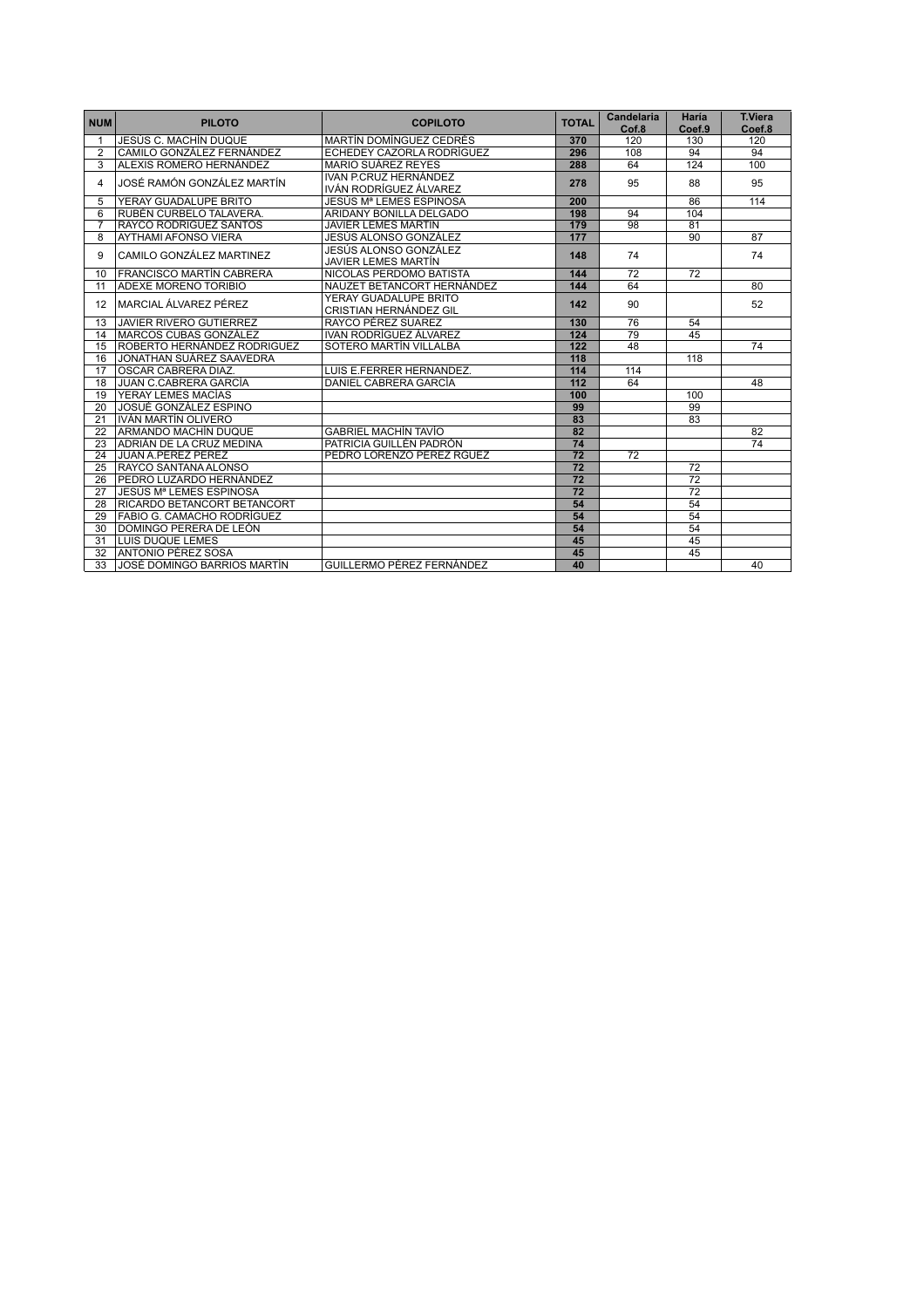| <b>NUM</b>     | <b>PILOTO</b>                      | <b>COPILOTO</b>                                     | <b>TOTAL</b>    | <b>Candelaria</b><br>Cof.8 | Haría<br>Coef.9 | <b>T.Viera</b><br>Coef.8 |
|----------------|------------------------------------|-----------------------------------------------------|-----------------|----------------------------|-----------------|--------------------------|
|                | JESÚS C. MACHÍN DUQUE              | <b>MARTÍN DOMÍNGUEZ CEDRÉS</b>                      | 370             | 120                        | 130             | 120                      |
| $\overline{2}$ | CAMILO GONZÁLEZ FERNÁNDEZ          | ECHEDEY CAZORLA RODRÍGUEZ                           | 296             | 108                        | 94              | 94                       |
| $\overline{3}$ | ALEXIS ROMERO HERNÁNDEZ            | MARIO SUÁREZ REYES                                  | 288             | 64                         | 124             | 100                      |
| 4              | JOSÉ RAMÓN GONZÁLEZ MARTÍN         | IVAN P.CRUZ HERNÁNDEZ<br>IVÁN RODRÍGUEZ ÁLVAREZ     | 278             | 95                         | 88              | 95                       |
| 5              | YERAY GUADALUPE BRITO              | JESÚS Mª LEMES ESPINOSA                             | 200             |                            | 86              | 114                      |
| 6              | RUBÉN CURBELO TALAVERA.            | ARIDANY BONILLA DELGADO                             | 198             | 94                         | 104             |                          |
| $\overline{7}$ | <b>RAYCO RODRIGUEZ SANTOS</b>      | <b>JAVIER LEMES MARTÍN</b>                          | 179             | 98                         | 81              |                          |
| 8              | <b>AYTHAMI AFONSO VIERA</b>        | JESÚS ALONSO GONZÁLEZ                               | 177             |                            | 90              | 87                       |
| 9              | CAMILO GONZÁLEZ MARTINEZ           | JESÚS ALONSO GONZÁLEZ<br><b>JAVIER LEMES MARTÍN</b> | 148             | 74                         |                 | 74                       |
| 10             | <b>FRANCISCO MARTÍN CABRERA</b>    | NICOLAS PERDOMO BATISTA                             | 144             | 72                         | 72              |                          |
| 11             | <b>ADEXE MORENO TORIBIO</b>        | NAUZET BETANCORT HERNÁNDEZ                          | 144             | 64                         |                 | 80                       |
| 12             | MARCIAL ÁLVAREZ PÉREZ              | YERAY GUADALUPE BRITO<br>CRISTIAN HERNÁNDEZ GIL     | 142             | 90                         |                 | 52                       |
| 13             | <b>JAVIER RIVERO GUTIERREZ</b>     | RAYCO PÉREZ SUAREZ                                  | 130             | 76                         | 54              |                          |
| 14             | <b>MARCOS CUBAS GONZÁLEZ</b>       | IVAN RODRÍGUEZ ÁLVAREZ                              | 124             | 79                         | 45              |                          |
| 15             | ROBERTO HERNÁNDEZ RODRIGUEZ        | SOTERO MARTÍN VILLALBA                              | 122             | 48                         |                 | $\overline{74}$          |
| 16             | JONATHAN SUÁREZ SAAVEDRA           |                                                     | 118             |                            | 118             |                          |
| 17             | OSCAR CABRERA DIAZ.                | LUIS E.FERRER HERNANDEZ.                            | 114             | 114                        |                 |                          |
| 18             | <b>JUAN C.CABRERA GARCÍA</b>       | DANIEL CABRERA GARCÍA                               | 112             | 64                         |                 | 48                       |
| 19             | YERAY LEMES MACÍAS                 |                                                     | 100             |                            | 100             |                          |
| 20             | JOSUÉ GONZÁLEZ ESPINO              |                                                     | 99              |                            | 99              |                          |
| 21             | IVÁN MARTÍN OLIVERO                |                                                     | 83              |                            | 83              |                          |
| 22             | ARMANDO MACHÍN DUQUE               | <b>GABRIEL MACHÍN TAVÍO</b>                         | 82              |                            |                 | 82                       |
| 23             | ADRIÁN DE LA CRUZ MEDINA           | PATRICIA GUILLÉN PADRÓN                             | 74              |                            |                 | 74                       |
| 24             | JUAN A.PÉREZ PÉREZ                 | PEDRO LORENZO PÉREZ RGUEZ                           | $\overline{72}$ | 72                         |                 |                          |
| 25             | RAYCO SANTANA ALONSO               |                                                     | $\overline{72}$ |                            | 72              |                          |
| 26             | PEDRO LUZARDO HERNÁNDEZ            |                                                     | $\overline{72}$ |                            | $\overline{72}$ |                          |
| 27             | l JESÚS Mª LEMES ESPINOSA          |                                                     | 72              |                            | 72              |                          |
| 28             | <b>RICARDO BETANCORT BETANCORT</b> |                                                     | 54              |                            | 54              |                          |
| 29             | <b>FABIO G. CAMACHO RODRÍGUEZ</b>  |                                                     | 54              |                            | 54              |                          |
| 30             | DOMINGO PERERA DE LEÓN             |                                                     | 54              |                            | 54              |                          |
| 31             | <b>LUIS DUQUE LEMES</b>            |                                                     | 45              |                            | 45              |                          |
| 32             | <b>ANTONIO PÉREZ SOSA</b>          |                                                     | 45              |                            | 45              |                          |
| 33             | <b>JOSÉ DOMINGO BARRIOS MARTÍN</b> | GUILLERMO PÉREZ FERNÁNDEZ                           | 40              |                            |                 | 40                       |